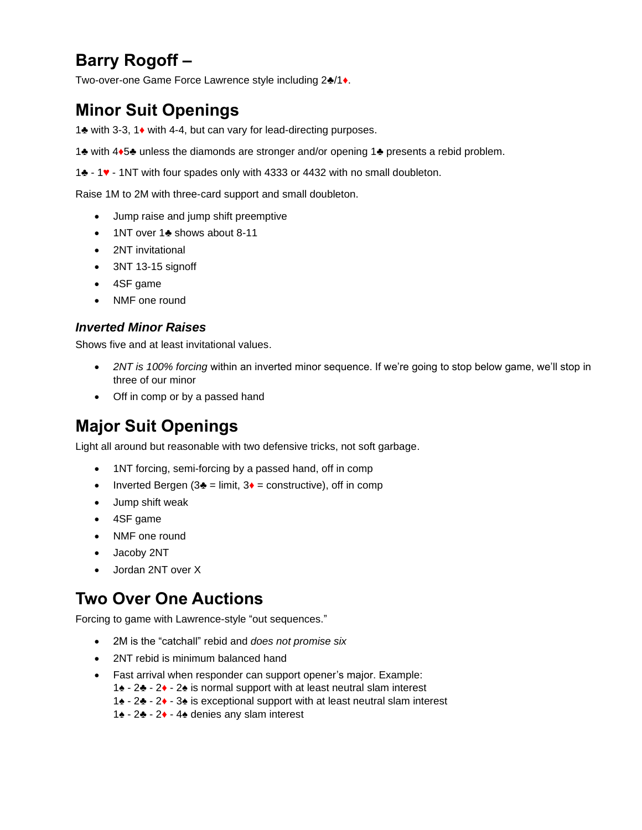# **Barry Rogoff –**

Two-over-one Game Force Lawrence style including 2♣/1♦.

## **Minor Suit Openings**

1♣ with 3-3, 1♦ with 4-4, but can vary for lead-directing purposes.

1♣ with 4♦5♣ unless the diamonds are stronger and/or opening 1♣ presents a rebid problem.

1♣ - 1♥ - 1NT with four spades only with 4333 or 4432 with no small doubleton.

Raise 1M to 2M with three-card support and small doubleton.

- Jump raise and jump shift preemptive
- 1NT over 1♣ shows about 8-11
- 2NT invitational
- 3NT 13-15 signoff
- 4SF game
- NMF one round

#### *Inverted Minor Raises*

Shows five and at least invitational values.

- *2NT is 100% forcing* within an inverted minor sequence. If we're going to stop below game, we'll stop in three of our minor
- Off in comp or by a passed hand

## **Major Suit Openings**

Light all around but reasonable with two defensive tricks, not soft garbage.

- 1NT forcing, semi-forcing by a passed hand, off in comp
- Inverted Bergen ( $3$  $\bullet$  = limit,  $3 \bullet$  = constructive), off in comp
- Jump shift weak
- 4SF game
- NMF one round
- Jacoby 2NT
- Jordan 2NT over X

## **Two Over One Auctions**

Forcing to game with Lawrence-style "out sequences."

- 2M is the "catchall" rebid and *does not promise six*
- 2NT rebid is minimum balanced hand
- Fast arrival when responder can support opener's major. Example:
	- 1♠ 2♣ 2♦ 2♠ is normal support with at least neutral slam interest
		- 1♠ 2♣ 2♦ 3♠ is exceptional support with at least neutral slam interest
		- 1♠ 2♣ 2♦ 4♠ denies any slam interest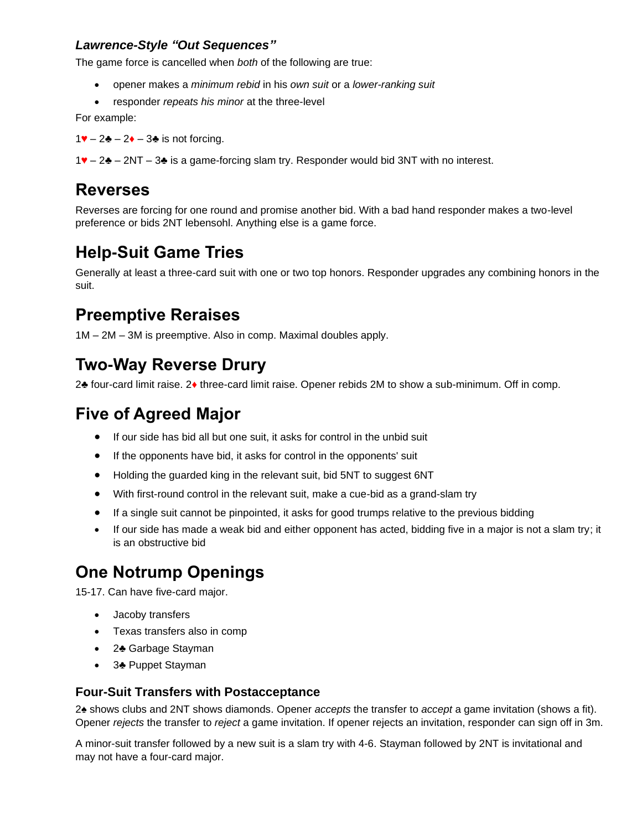#### *Lawrence-Style "Out Sequences"*

The game force is cancelled when *both* of the following are true:

- opener makes a *minimum rebid* in his *own suit* or a *lower-ranking suit*
- responder *repeats his minor* at the three-level

For example:

1♥ – 2♣ – 2♦ – 3♣ is not forcing.

1♥ – 2♣ – 2NT – 3♣ is a game-forcing slam try. Responder would bid 3NT with no interest.

#### **Reverses**

Reverses are forcing for one round and promise another bid. With a bad hand responder makes a two-level preference or bids 2NT lebensohl. Anything else is a game force.

### **Help-Suit Game Tries**

Generally at least a three-card suit with one or two top honors. Responder upgrades any combining honors in the suit.

#### **Preemptive Reraises**

1M – 2M – 3M is preemptive. Also in comp. Maximal doubles apply.

#### **Two-Way Reverse Drury**

2♣ four-card limit raise. 2♦ three-card limit raise. Opener rebids 2M to show a sub-minimum. Off in comp.

### **Five of Agreed Major**

- If our side has bid all but one suit, it asks for control in the unbid suit
- If the opponents have bid, it asks for control in the opponents' suit
- Holding the guarded king in the relevant suit, bid 5NT to suggest 6NT
- With first-round control in the relevant suit, make a cue-bid as a grand-slam try
- If a single suit cannot be pinpointed, it asks for good trumps relative to the previous bidding
- If our side has made a weak bid and either opponent has acted, bidding five in a major is not a slam try; it is an obstructive bid

### **One Notrump Openings**

15-17. Can have five-card major.

- Jacoby transfers
- Texas transfers also in comp
- 2♣ Garbage Stayman
- 3♣ Puppet Stayman

#### **Four-Suit Transfers with Postacceptance**

2♠ shows clubs and 2NT shows diamonds. Opener *accepts* the transfer to *accept* a game invitation (shows a fit). Opener *rejects* the transfer to *reject* a game invitation. If opener rejects an invitation, responder can sign off in 3m.

A minor-suit transfer followed by a new suit is a slam try with 4-6. Stayman followed by 2NT is invitational and may not have a four-card major.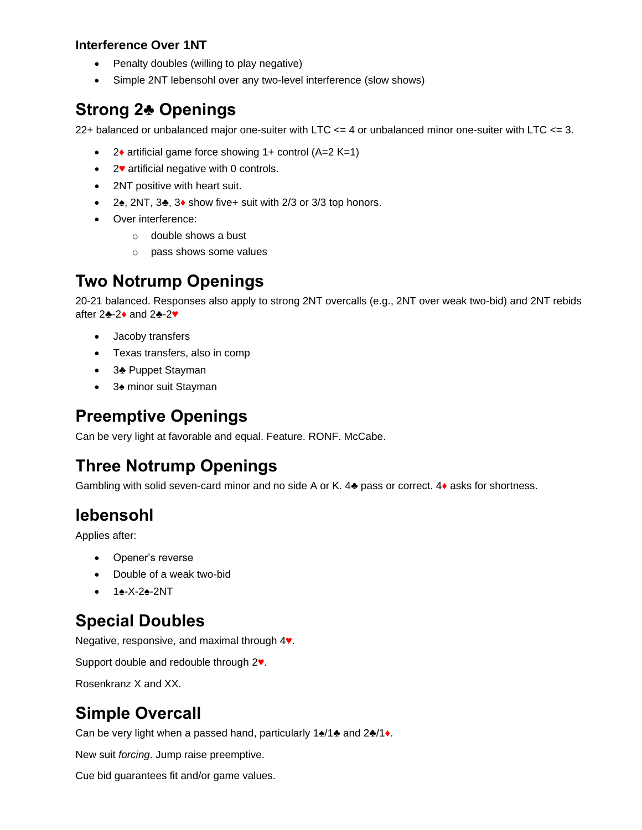#### **Interference Over 1NT**

- Penalty doubles (willing to play negative)
- Simple 2NT lebensohl over any two-level interference (slow shows)

## **Strong 2♣ Openings**

22+ balanced or unbalanced major one-suiter with LTC  $\leq$  4 or unbalanced minor one-suiter with LTC  $\leq$  3.

- 2• artificial game force showing  $1+$  control (A=2 K=1)
- 2♥ artificial negative with 0 controls.
- 2NT positive with heart suit.
- 2♠, 2NT, 3♣, 3♦ show five+ suit with 2/3 or 3/3 top honors.
- Over interference:
	- o double shows a bust
	- o pass shows some values

### **Two Notrump Openings**

20-21 balanced. Responses also apply to strong 2NT overcalls (e.g., 2NT over weak two-bid) and 2NT rebids after 2♣-2♦ and 2♣-2♥

- Jacoby transfers
- Texas transfers, also in comp
- 3♣ Puppet Stayman
- 3♠ minor suit Stayman

### **Preemptive Openings**

Can be very light at favorable and equal. Feature. RONF. McCabe.

### **Three Notrump Openings**

Gambling with solid seven-card minor and no side A or K. 4♣ pass or correct. 4♦ asks for shortness.

### **lebensohl**

Applies after:

- Opener's reverse
- Double of a weak two-bid
- 1♠-X-2♠-2NT

### **Special Doubles**

Negative, responsive, and maximal through 4♥.

Support double and redouble through 2♥.

Rosenkranz X and XX.

## **Simple Overcall**

Can be very light when a passed hand, particularly 1♠/1♣ and 2♣/1♦.

New suit *forcing*. Jump raise preemptive.

Cue bid guarantees fit and/or game values.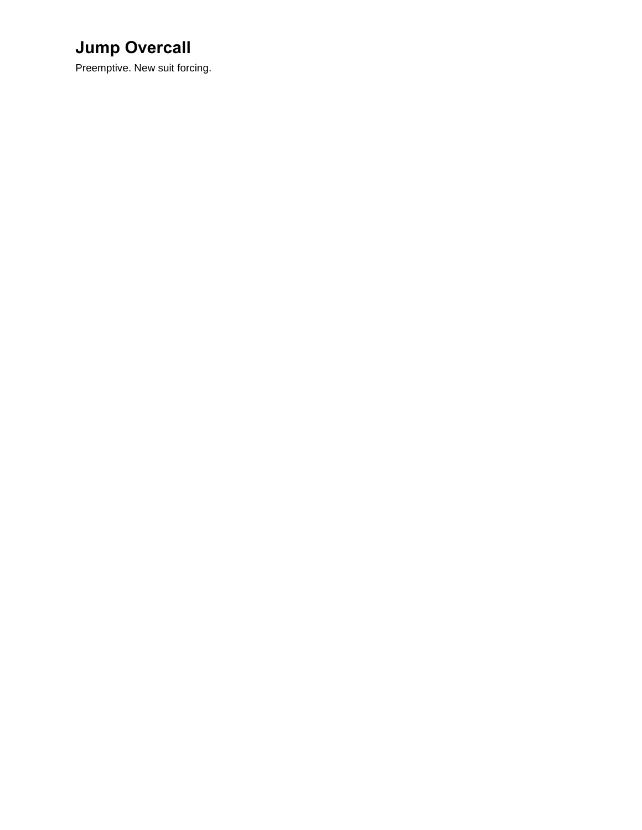# **Jump Overcall**

Preemptive. New suit forcing.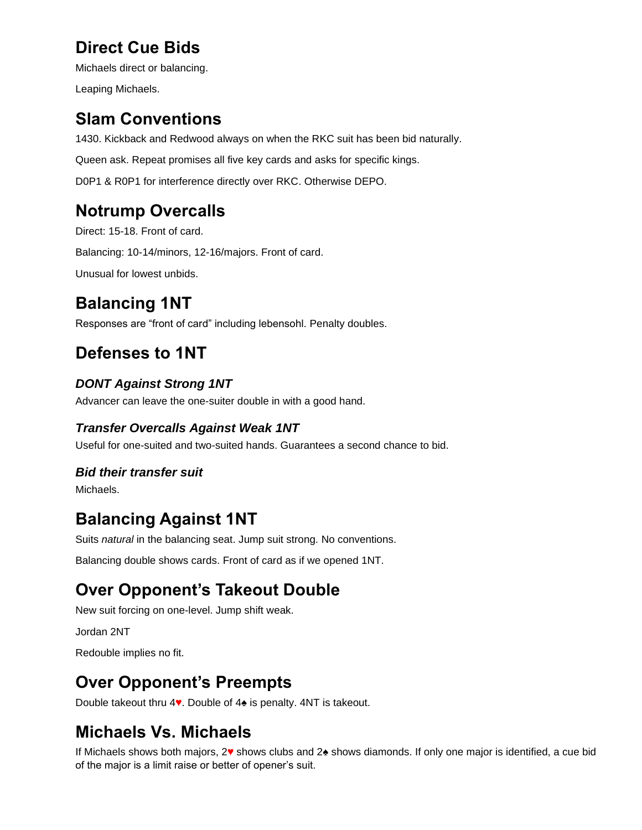# **Direct Cue Bids**

Michaels direct or balancing.

Leaping Michaels.

## **Slam Conventions**

1430. Kickback and Redwood always on when the RKC suit has been bid naturally.

Queen ask. Repeat promises all five key cards and asks for specific kings.

D0P1 & R0P1 for interference directly over RKC. Otherwise DEPO.

## **Notrump Overcalls**

Direct: 15-18. Front of card.

Balancing: 10-14/minors, 12-16/majors. Front of card.

Unusual for lowest unbids.

# **Balancing 1NT**

Responses are "front of card" including lebensohl. Penalty doubles.

## **Defenses to 1NT**

#### *DONT Against Strong 1NT*

Advancer can leave the one-suiter double in with a good hand.

#### *Transfer Overcalls Against Weak 1NT*

Useful for one-suited and two-suited hands. Guarantees a second chance to bid.

#### *Bid their transfer suit*

Michaels.

## **Balancing Against 1NT**

Suits *natural* in the balancing seat. Jump suit strong. No conventions.

Balancing double shows cards. Front of card as if we opened 1NT.

### **Over Opponent's Takeout Double**

New suit forcing on one-level. Jump shift weak.

Jordan 2NT

Redouble implies no fit.

### **Over Opponent's Preempts**

Double takeout thru 4♥. Double of 4♠ is penalty. 4NT is takeout.

## **Michaels Vs. Michaels**

If Michaels shows both majors, 2♥ shows clubs and 2♠ shows diamonds. If only one major is identified, a cue bid of the major is a limit raise or better of opener's suit.